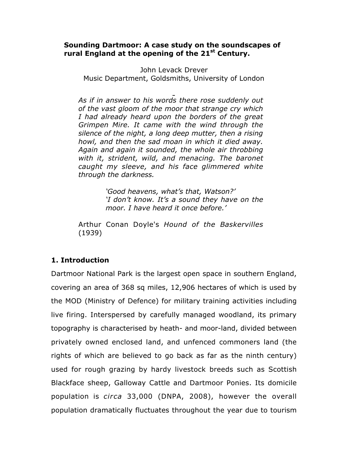### **Sounding Dartmoor: A case study on the soundscapes of rural England at the opening of the 21st Century.**

John Levack Drever Music Department, Goldsmiths, University of London

*As if in answer to his words there rose suddenly out of the vast gloom of the moor that strange cry which I had already heard upon the borders of the great Grimpen Mire. It came with the wind through the silence of the night, a long deep mutter, then a rising howl, and then the sad moan in which it died away. Again and again it sounded, the whole air throbbing with it, strident, wild, and menacing. The baronet caught my sleeve, and his face glimmered white through the darkness.*

> *'Good heavens, what's that, Watson?' 'I don't know. It's a sound they have on the moor. I have heard it once before.'*

Arthur Conan Doyle's *Hound of the Baskervilles* (1939)

## **1. Introduction**

Dartmoor National Park is the largest open space in southern England, covering an area of 368 sq miles, 12,906 hectares of which is used by the MOD (Ministry of Defence) for military training activities including live firing. Interspersed by carefully managed woodland, its primary topography is characterised by heath- and moor-land, divided between privately owned enclosed land, and unfenced commoners land (the rights of which are believed to go back as far as the ninth century) used for rough grazing by hardy livestock breeds such as Scottish Blackface sheep, Galloway Cattle and Dartmoor Ponies. Its domicile population is *circa* 33,000 (DNPA, 2008), however the overall population dramatically fluctuates throughout the year due to tourism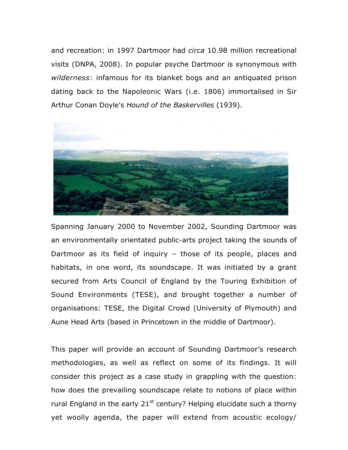and recreation: in 1997 Dartmoor had *circa* 10.98 million recreational visits (DNPA, 2008). In popular psyche Dartmoor is synonymous with *wilderness*: infamous for its blanket bogs and an antiquated prison dating back to the Napoleonic Wars (i.e. 1806) immortalised in Sir Arthur Conan Doyle's *Hound of the Baskervilles* (1939).



Spanning January 2000 to November 2002, Sounding Dartmoor was an environmentally orientated public-arts project taking the sounds of Dartmoor as its field of inquiry – those of its people, places and habitats, in one word, its soundscape. It was initiated by a grant secured from Arts Council of England by the Touring Exhibition of Sound Environments (TESE), and brought together a number of organisations: TESE, the Digital Crowd (University of Plymouth) and Aune Head Arts (based in Princetown in the middle of Dartmoor).

This paper will provide an account of Sounding Dartmoor's research methodologies, as well as reflect on some of its findings. It will consider this project as a case study in grappling with the question: how does the prevailing soundscape relate to notions of place within rural England in the early  $21^{st}$  century? Helping elucidate such a thorny yet woolly agenda, the paper will extend from acoustic ecology/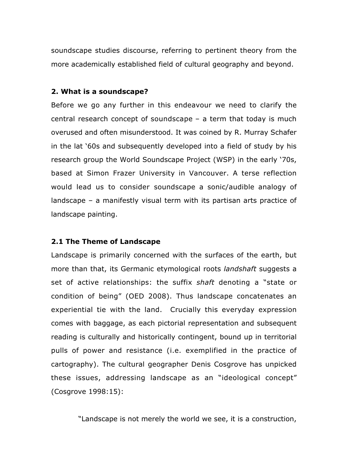soundscape studies discourse, referring to pertinent theory from the more academically established field of cultural geography and beyond.

### **2. What is a soundscape?**

Before we go any further in this endeavour we need to clarify the central research concept of soundscape – a term that today is much overused and often misunderstood. It was coined by R. Murray Schafer in the lat '60s and subsequently developed into a field of study by his research group the World Soundscape Project (WSP) in the early '70s, based at Simon Frazer University in Vancouver. A terse reflection would lead us to consider soundscape a sonic/audible analogy of landscape – a manifestly visual term with its partisan arts practice of landscape painting.

## **2.1 The Theme of Landscape**

Landscape is primarily concerned with the surfaces of the earth, but more than that, its Germanic etymological roots *landshaft* suggests a set of active relationships: the suffix *shaft* denoting a "state or condition of being" (OED 2008). Thus landscape concatenates an experiential tie with the land. Crucially this everyday expression comes with baggage, as each pictorial representation and subsequent reading is culturally and historically contingent, bound up in territorial pulls of power and resistance (i.e. exemplified in the practice of cartography). The cultural geographer Denis Cosgrove has unpicked these issues, addressing landscape as an "ideological concept" (Cosgrove 1998:15):

"Landscape is not merely the world we see, it is a construction,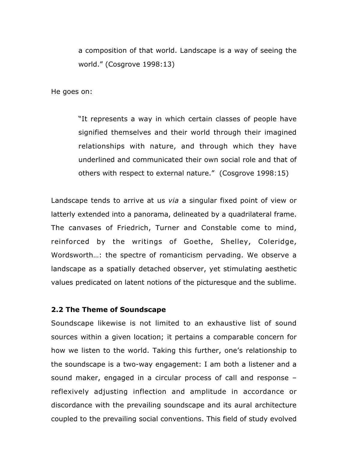a composition of that world. Landscape is a way of seeing the world." (Cosgrove 1998:13)

He goes on:

"It represents a way in which certain classes of people have signified themselves and their world through their imagined relationships with nature, and through which they have underlined and communicated their own social role and that of others with respect to external nature." (Cosgrove 1998:15)

Landscape tends to arrive at us *via* a singular fixed point of view or latterly extended into a panorama, delineated by a quadrilateral frame. The canvases of Friedrich, Turner and Constable come to mind, reinforced by the writings of Goethe, Shelley, Coleridge, Wordsworth…: the spectre of romanticism pervading. We observe a landscape as a spatially detached observer, yet stimulating aesthetic values predicated on latent notions of the picturesque and the sublime.

#### **2.2 The Theme of Soundscape**

Soundscape likewise is not limited to an exhaustive list of sound sources within a given location; it pertains a comparable concern for how we listen to the world. Taking this further, one's relationship to the soundscape is a two-way engagement: I am both a listener and a sound maker, engaged in a circular process of call and response – reflexively adjusting inflection and amplitude in accordance or discordance with the prevailing soundscape and its aural architecture coupled to the prevailing social conventions. This field of study evolved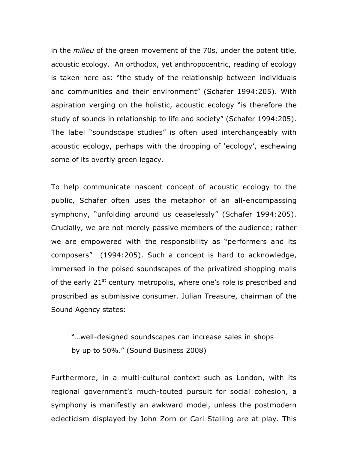in the *milieu* of the green movement of the 70s, under the potent title, acoustic ecology. An orthodox, yet anthropocentric, reading of ecology is taken here as: "the study of the relationship between individuals and communities and their environment" (Schafer 1994:205). With aspiration verging on the holistic, acoustic ecology "is therefore the study of sounds in relationship to life and society" (Schafer 1994:205). The label "soundscape studies" is often used interchangeably with acoustic ecology, perhaps with the dropping of 'ecology', eschewing some of its overtly green legacy.

To help communicate nascent concept of acoustic ecology to the public, Schafer often uses the metaphor of an all-encompassing symphony, "unfolding around us ceaselessly" (Schafer 1994:205). Crucially, we are not merely passive members of the audience; rather we are empowered with the responsibility as "performers and its composers" (1994:205). Such a concept is hard to acknowledge, immersed in the poised soundscapes of the privatized shopping malls of the early  $21^{st}$  century metropolis, where one's role is prescribed and proscribed as submissive consumer. Julian Treasure, chairman of the Sound Agency states:

"…well-designed soundscapes can increase sales in shops by up to 50%." (Sound Business 2008)

Furthermore, in a multi-cultural context such as London, with its regional government's much-touted pursuit for social cohesion, a symphony is manifestly an awkward model, unless the postmodern eclecticism displayed by John Zorn or Carl Stalling are at play. This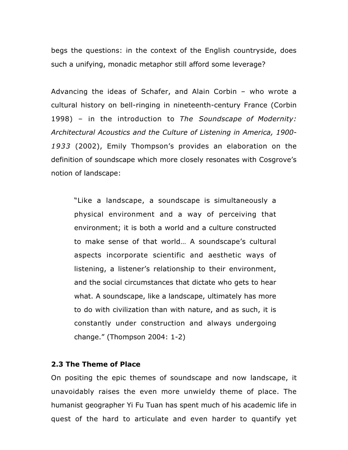begs the questions: in the context of the English countryside, does such a unifying, monadic metaphor still afford some leverage?

Advancing the ideas of Schafer, and Alain Corbin – who wrote a cultural history on bell-ringing in nineteenth-century France (Corbin 1998) – in the introduction to *The Soundscape of Modernity: Architectural Acoustics and the Culture of Listening in America, 1900- 1933* (2002), Emily Thompson's provides an elaboration on the definition of soundscape which more closely resonates with Cosgrove's notion of landscape:

"Like a landscape, a soundscape is simultaneously a physical environment and a way of perceiving that environment; it is both a world and a culture constructed to make sense of that world… A soundscape's cultural aspects incorporate scientific and aesthetic ways of listening, a listener's relationship to their environment, and the social circumstances that dictate who gets to hear what. A soundscape, like a landscape, ultimately has more to do with civilization than with nature, and as such, it is constantly under construction and always undergoing change." (Thompson 2004: 1-2)

#### **2.3 The Theme of Place**

On positing the epic themes of soundscape and now landscape, it unavoidably raises the even more unwieldy theme of place. The humanist geographer Yi Fu Tuan has spent much of his academic life in quest of the hard to articulate and even harder to quantify yet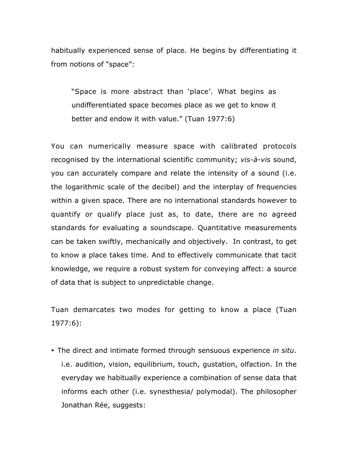habitually experienced sense of place. He begins by differentiating it from notions of "space":

"Space is more abstract than 'place'. What begins as undifferentiated space becomes place as we get to know it better and endow it with value." (Tuan 1977:6)

You can numerically measure space with calibrated protocols recognised by the international scientific community; *vis-à-vis* sound, you can accurately compare and relate the intensity of a sound (i.e. the logarithmic scale of the decibel) and the interplay of frequencies within a given space. There are no international standards however to quantify or qualify place just as, to date, there are no agreed standards for evaluating a soundscape. Quantitative measurements can be taken swiftly, mechanically and objectively. In contrast, to get to know a place takes time. And to effectively communicate that tacit knowledge, we require a robust system for conveying affect: a source of data that is subject to unpredictable change.

Tuan demarcates two modes for getting to know a place (Tuan 1977:6):

• The direct and intimate formed through sensuous experience *in situ*. i.e. audition, vision, equilibrium, touch, gustation, olfaction. In the everyday we habitually experience a combination of sense data that informs each other (i.e. synesthesia/ polymodal). The philosopher Jonathan Rée, suggests: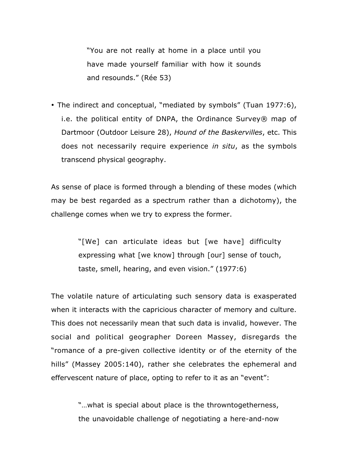"You are not really at home in a place until you have made yourself familiar with how it sounds and resounds." (Rée 53)

• The indirect and conceptual, "mediated by symbols" (Tuan 1977:6), i.e. the political entity of DNPA, the Ordinance Survey® map of Dartmoor (Outdoor Leisure 28), *Hound of the Baskervilles*, etc. This does not necessarily require experience *in situ*, as the symbols transcend physical geography.

As sense of place is formed through a blending of these modes (which may be best regarded as a spectrum rather than a dichotomy), the challenge comes when we try to express the former.

> "[We] can articulate ideas but [we have] difficulty expressing what [we know] through [our] sense of touch, taste, smell, hearing, and even vision." (1977:6)

The volatile nature of articulating such sensory data is exasperated when it interacts with the capricious character of memory and culture. This does not necessarily mean that such data is invalid, however. The social and political geographer Doreen Massey, disregards the "romance of a pre-given collective identity or of the eternity of the hills" (Massey 2005:140), rather she celebrates the ephemeral and effervescent nature of place, opting to refer to it as an "event":

> "…what is special about place is the throwntogetherness, the unavoidable challenge of negotiating a here-and-now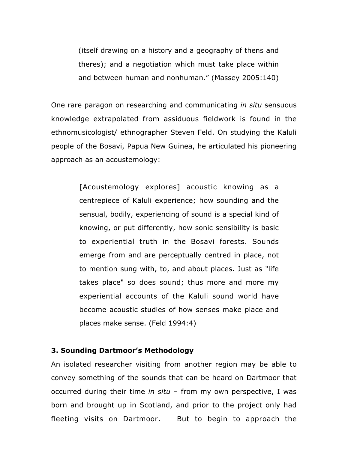(itself drawing on a history and a geography of thens and theres); and a negotiation which must take place within and between human and nonhuman." (Massey 2005:140)

One rare paragon on researching and communicating *in situ* sensuous knowledge extrapolated from assiduous fieldwork is found in the ethnomusicologist/ ethnographer Steven Feld. On studying the Kaluli people of the Bosavi, Papua New Guinea, he articulated his pioneering approach as an acoustemology:

> [Acoustemology explores] acoustic knowing as a centrepiece of Kaluli experience; how sounding and the sensual, bodily, experiencing of sound is a special kind of knowing, or put differently, how sonic sensibility is basic to experiential truth in the Bosavi forests. Sounds emerge from and are perceptually centred in place, not to mention sung with, to, and about places. Just as "life takes place" so does sound; thus more and more my experiential accounts of the Kaluli sound world have become acoustic studies of how senses make place and places make sense. (Feld 1994:4)

#### **3. Sounding Dartmoor's Methodology**

An isolated researcher visiting from another region may be able to convey something of the sounds that can be heard on Dartmoor that occurred during their time *in situ* – from my own perspective, I was born and brought up in Scotland, and prior to the project only had fleeting visits on Dartmoor. But to begin to approach the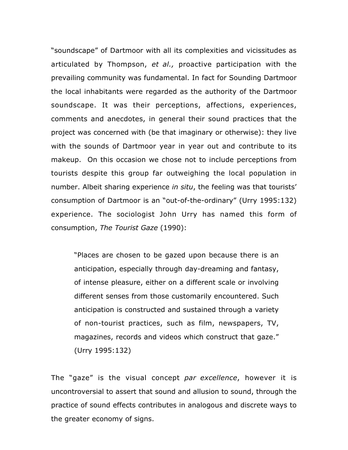"soundscape" of Dartmoor with all its complexities and vicissitudes as articulated by Thompson, *et al.,* proactive participation with the prevailing community was fundamental. In fact for Sounding Dartmoor the local inhabitants were regarded as the authority of the Dartmoor soundscape. It was their perceptions, affections, experiences, comments and anecdotes, in general their sound practices that the project was concerned with (be that imaginary or otherwise): they live with the sounds of Dartmoor year in year out and contribute to its makeup. On this occasion we chose not to include perceptions from tourists despite this group far outweighing the local population in number. Albeit sharing experience *in situ*, the feeling was that tourists' consumption of Dartmoor is an "out-of-the-ordinary" (Urry 1995:132) experience. The sociologist John Urry has named this form of consumption, *The Tourist Gaze* (1990):

"Places are chosen to be gazed upon because there is an anticipation, especially through day-dreaming and fantasy, of intense pleasure, either on a different scale or involving different senses from those customarily encountered. Such anticipation is constructed and sustained through a variety of non-tourist practices, such as film, newspapers, TV, magazines, records and videos which construct that gaze." (Urry 1995:132)

The "gaze" is the visual concept *par excellence*, however it is uncontroversial to assert that sound and allusion to sound, through the practice of sound effects contributes in analogous and discrete ways to the greater economy of signs.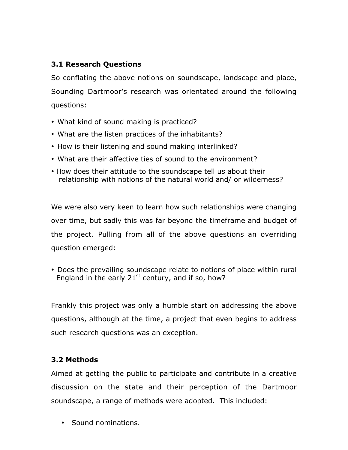## **3.1 Research Questions**

So conflating the above notions on soundscape, landscape and place, Sounding Dartmoor's research was orientated around the following questions:

- What kind of sound making is practiced?
- What are the listen practices of the inhabitants?
- How is their listening and sound making interlinked?
- What are their affective ties of sound to the environment?
- How does their attitude to the soundscape tell us about their relationship with notions of the natural world and/ or wilderness?

We were also very keen to learn how such relationships were changing over time, but sadly this was far beyond the timeframe and budget of the project. Pulling from all of the above questions an overriding question emerged:

• Does the prevailing soundscape relate to notions of place within rural England in the early  $21^{st}$  century, and if so, how?

Frankly this project was only a humble start on addressing the above questions, although at the time, a project that even begins to address such research questions was an exception.

## **3.2 Methods**

Aimed at getting the public to participate and contribute in a creative discussion on the state and their perception of the Dartmoor soundscape, a range of methods were adopted. This included:

• Sound nominations.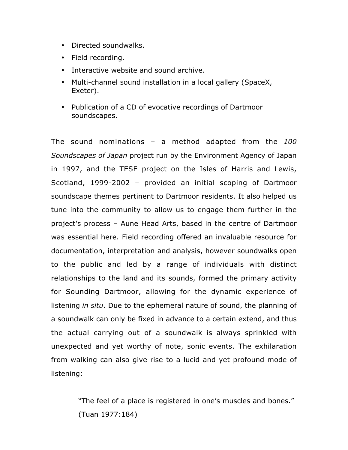- Directed soundwalks.
- Field recording.
- Interactive website and sound archive.
- Multi-channel sound installation in a local gallery (SpaceX, Exeter).
- Publication of a CD of evocative recordings of Dartmoor soundscapes.

The sound nominations – a method adapted from the *100 Soundscapes of Japan* project run by the Environment Agency of Japan in 1997, and the TESE project on the Isles of Harris and Lewis, Scotland, 1999-2002 – provided an initial scoping of Dartmoor soundscape themes pertinent to Dartmoor residents. It also helped us tune into the community to allow us to engage them further in the project's process – Aune Head Arts, based in the centre of Dartmoor was essential here. Field recording offered an invaluable resource for documentation, interpretation and analysis, however soundwalks open to the public and led by a range of individuals with distinct relationships to the land and its sounds, formed the primary activity for Sounding Dartmoor, allowing for the dynamic experience of listening *in situ*. Due to the ephemeral nature of sound, the planning of a soundwalk can only be fixed in advance to a certain extend, and thus the actual carrying out of a soundwalk is always sprinkled with unexpected and yet worthy of note, sonic events. The exhilaration from walking can also give rise to a lucid and yet profound mode of listening:

> "The feel of a place is registered in one's muscles and bones." (Tuan 1977:184)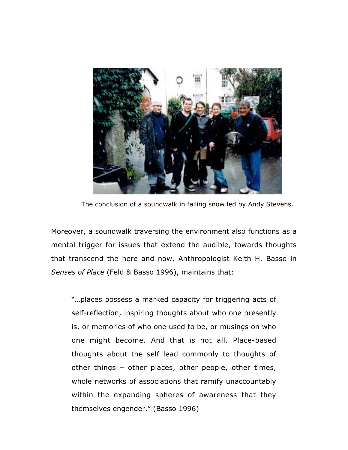

The conclusion of a soundwalk in falling snow led by Andy Stevens.

Moreover, a soundwalk traversing the environment also functions as a mental trigger for issues that extend the audible, towards thoughts that transcend the here and now. Anthropologist Keith H. Basso in *Senses of Place* (Feld & Basso 1996), maintains that:

"…places possess a marked capacity for triggering acts of self-reflection, inspiring thoughts about who one presently is, or memories of who one used to be, or musings on who one might become. And that is not all. Place-based thoughts about the self lead commonly to thoughts of other things – other places, other people, other times, whole networks of associations that ramify unaccountably within the expanding spheres of awareness that they themselves engender." (Basso 1996)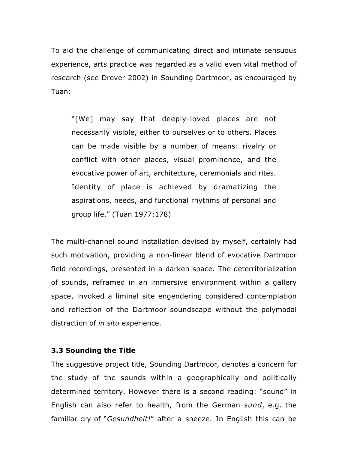To aid the challenge of communicating direct and intimate sensuous experience, arts practice was regarded as a valid even vital method of research (see Drever 2002) in Sounding Dartmoor, as encouraged by Tuan:

"[We] may say that deeply-loved places are not necessarily visible, either to ourselves or to others. Places can be made visible by a number of means: rivalry or conflict with other places, visual prominence, and the evocative power of art, architecture, ceremonials and rites. Identity of place is achieved by dramatizing the aspirations, needs, and functional rhythms of personal and group life." (Tuan 1977:178)

The multi-channel sound installation devised by myself, certainly had such motivation, providing a non-linear blend of evocative Dartmoor field recordings, presented in a darken space. The deterritorialization of sounds, reframed in an immersive environment within a gallery space, invoked a liminal site engendering considered contemplation and reflection of the Dartmoor soundscape without the polymodal distraction of *in situ* experience.

### **3.3 Sounding the Title**

The suggestive project title, Sounding Dartmoor, denotes a concern for the study of the sounds within a geographically and politically determined territory. However there is a second reading: "sound" in English can also refer to health, from the German *sund*, e.g. the familiar cry of "*Gesundheit!*" after a sneeze. In English this can be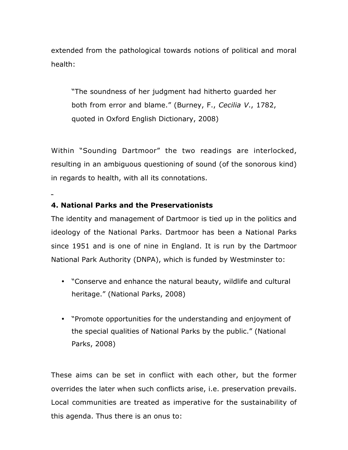extended from the pathological towards notions of political and moral health:

"The soundness of her judgment had hitherto guarded her both from error and blame." (Burney, F., *Cecilia V*., 1782, quoted in Oxford English Dictionary, 2008)

Within "Sounding Dartmoor" the two readings are interlocked, resulting in an ambiguous questioning of sound (of the sonorous kind) in regards to health, with all its connotations.

## **4. National Parks and the Preservationists**

The identity and management of Dartmoor is tied up in the politics and ideology of the National Parks. Dartmoor has been a National Parks since 1951 and is one of nine in England. It is run by the Dartmoor National Park Authority (DNPA), which is funded by Westminster to:

- "Conserve and enhance the natural beauty, wildlife and cultural heritage." (National Parks, 2008)
- "Promote opportunities for the understanding and enjoyment of the special qualities of National Parks by the public." (National Parks, 2008)

These aims can be set in conflict with each other, but the former overrides the later when such conflicts arise, i.e. preservation prevails. Local communities are treated as imperative for the sustainability of this agenda. Thus there is an onus to: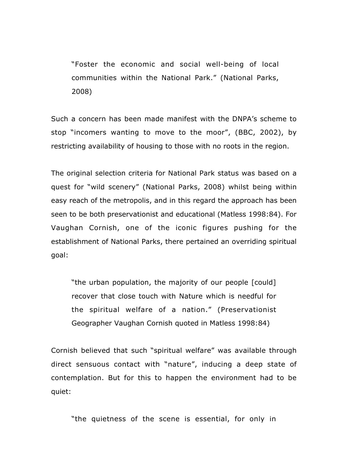"Foster the economic and social well-being of local communities within the National Park." (National Parks, 2008)

Such a concern has been made manifest with the DNPA's scheme to stop "incomers wanting to move to the moor", (BBC, 2002), by restricting availability of housing to those with no roots in the region.

The original selection criteria for National Park status was based on a quest for "wild scenery" (National Parks, 2008) whilst being within easy reach of the metropolis, and in this regard the approach has been seen to be both preservationist and educational (Matless 1998:84). For Vaughan Cornish, one of the iconic figures pushing for the establishment of National Parks, there pertained an overriding spiritual goal:

"the urban population, the majority of our people [could] recover that close touch with Nature which is needful for the spiritual welfare of a nation." (Preservationist Geographer Vaughan Cornish quoted in Matless 1998:84)

Cornish believed that such "spiritual welfare" was available through direct sensuous contact with "nature", inducing a deep state of contemplation. But for this to happen the environment had to be quiet:

"the quietness of the scene is essential, for only in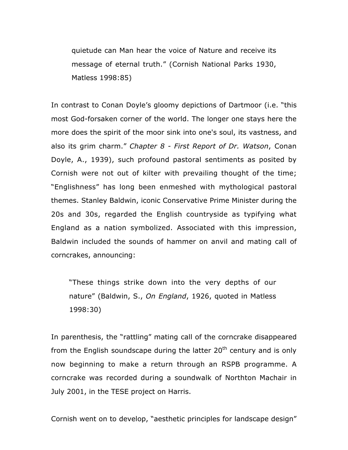quietude can Man hear the voice of Nature and receive its message of eternal truth." (Cornish National Parks 1930, Matless 1998:85)

In contrast to Conan Doyle's gloomy depictions of Dartmoor (i.e. "this most God-forsaken corner of the world. The longer one stays here the more does the spirit of the moor sink into one's soul, its vastness, and also its grim charm." *Chapter 8 - First Report of Dr. Watson*, Conan Doyle, A., 1939), such profound pastoral sentiments as posited by Cornish were not out of kilter with prevailing thought of the time; "Englishness" has long been enmeshed with mythological pastoral themes. Stanley Baldwin, iconic Conservative Prime Minister during the 20s and 30s, regarded the English countryside as typifying what England as a nation symbolized. Associated with this impression, Baldwin included the sounds of hammer on anvil and mating call of corncrakes, announcing:

"These things strike down into the very depths of our nature" (Baldwin, S., *On England*, 1926, quoted in Matless 1998:30)

In parenthesis, the "rattling" mating call of the corncrake disappeared from the English soundscape during the latter  $20<sup>th</sup>$  century and is only now beginning to make a return through an RSPB programme. A corncrake was recorded during a soundwalk of Northton Machair in July 2001, in the TESE project on Harris.

Cornish went on to develop, "aesthetic principles for landscape design"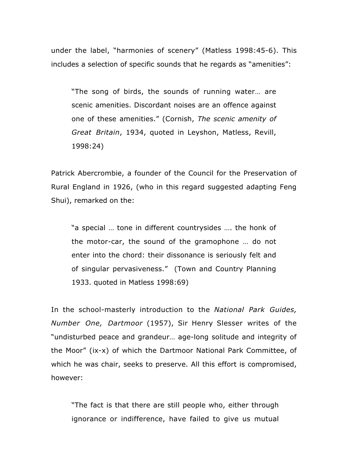under the label, "harmonies of scenery" (Matless 1998:45-6). This includes a selection of specific sounds that he regards as "amenities":

"The song of birds, the sounds of running water… are scenic amenities. Discordant noises are an offence against one of these amenities." (Cornish, *The scenic amenity of Great Britain*, 1934, quoted in Leyshon, Matless, Revill, 1998:24)

Patrick Abercrombie, a founder of the Council for the Preservation of Rural England in 1926, (who in this regard suggested adapting Feng Shui), remarked on the:

"a special … tone in different countrysides …. the honk of the motor-car, the sound of the gramophone … do not enter into the chord: their dissonance is seriously felt and of singular pervasiveness." (Town and Country Planning 1933. quoted in Matless 1998:69)

In the school-masterly introduction to the *National Park Guides, Number One, Dartmoor* (1957), Sir Henry Slesser writes of the "undisturbed peace and grandeur… age-long solitude and integrity of the Moor" (ix-x) of which the Dartmoor National Park Committee, of which he was chair, seeks to preserve. All this effort is compromised, however:

"The fact is that there are still people who, either through ignorance or indifference, have failed to give us mutual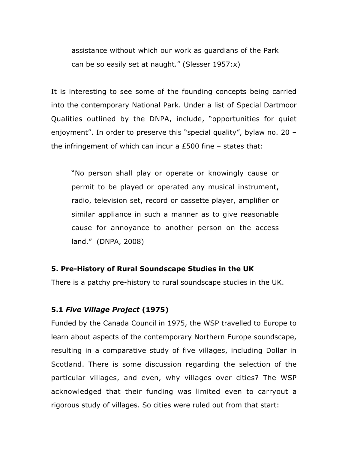assistance without which our work as guardians of the Park can be so easily set at naught." (Slesser 1957:x)

It is interesting to see some of the founding concepts being carried into the contemporary National Park. Under a list of Special Dartmoor Qualities outlined by the DNPA, include, "opportunities for quiet enjoyment". In order to preserve this "special quality", bylaw no. 20 – the infringement of which can incur a £500 fine – states that:

"No person shall play or operate or knowingly cause or permit to be played or operated any musical instrument, radio, television set, record or cassette player, amplifier or similar appliance in such a manner as to give reasonable cause for annoyance to another person on the access land." (DNPA, 2008)

### **5. Pre-History of Rural Soundscape Studies in the UK**

There is a patchy pre-history to rural soundscape studies in the UK.

## **5.1** *Five Village Project* **(1975)**

Funded by the Canada Council in 1975, the WSP travelled to Europe to learn about aspects of the contemporary Northern Europe soundscape, resulting in a comparative study of five villages, including Dollar in Scotland. There is some discussion regarding the selection of the particular villages, and even, why villages over cities? The WSP acknowledged that their funding was limited even to carryout a rigorous study of villages. So cities were ruled out from that start: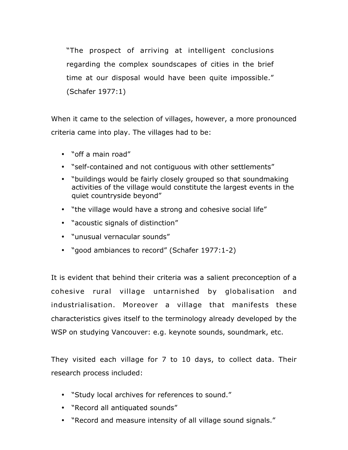"The prospect of arriving at intelligent conclusions regarding the complex soundscapes of cities in the brief time at our disposal would have been quite impossible." (Schafer 1977:1)

When it came to the selection of villages, however, a more pronounced criteria came into play. The villages had to be:

- "off a main road"
- "self-contained and not contiguous with other settlements"
- "buildings would be fairly closely grouped so that soundmaking activities of the village would constitute the largest events in the quiet countryside beyond"
- "the village would have a strong and cohesive social life"
- "acoustic signals of distinction"
- "unusual vernacular sounds"
- "good ambiances to record" (Schafer 1977:1-2)

It is evident that behind their criteria was a salient preconception of a cohesive rural village untarnished by globalisation and industrialisation. Moreover a village that manifests these characteristics gives itself to the terminology already developed by the WSP on studying Vancouver: e.g. keynote sounds, soundmark, etc.

They visited each village for 7 to 10 days, to collect data. Their research process included:

- "Study local archives for references to sound."
- "Record all antiquated sounds"
- "Record and measure intensity of all village sound signals."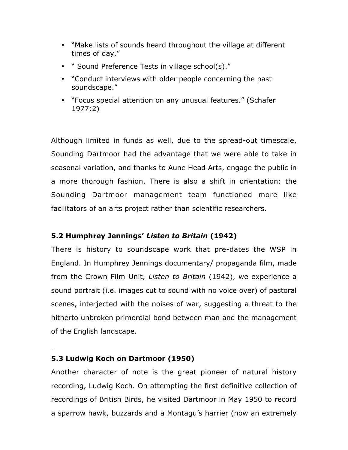- "Make lists of sounds heard throughout the village at different times of day."
- " Sound Preference Tests in village school(s)."
- "Conduct interviews with older people concerning the past soundscape."
- "Focus special attention on any unusual features." (Schafer 1977:2)

Although limited in funds as well, due to the spread-out timescale, Sounding Dartmoor had the advantage that we were able to take in seasonal variation, and thanks to Aune Head Arts, engage the public in a more thorough fashion. There is also a shift in orientation: the Sounding Dartmoor management team functioned more like facilitators of an arts project rather than scientific researchers.

# **5.2 Humphrey Jennings'** *Listen to Britain* **(1942)**

There is history to soundscape work that pre-dates the WSP in England. In Humphrey Jennings documentary/ propaganda film, made from the Crown Film Unit, *Listen to Britain* (1942), we experience a sound portrait (i.e. images cut to sound with no voice over) of pastoral scenes, interjected with the noises of war, suggesting a threat to the hitherto unbroken primordial bond between man and the management of the English landscape.

# **5.3 Ludwig Koch on Dartmoor (1950)**

Another character of note is the great pioneer of natural history recording, Ludwig Koch. On attempting the first definitive collection of recordings of British Birds, he visited Dartmoor in May 1950 to record a sparrow hawk, buzzards and a Montagu's harrier (now an extremely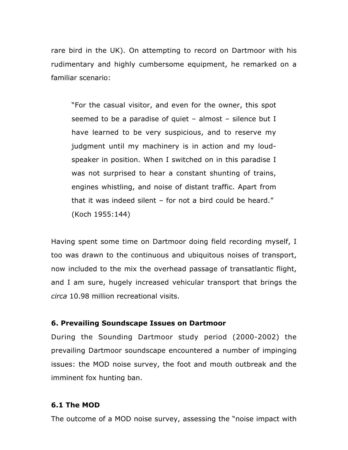rare bird in the UK). On attempting to record on Dartmoor with his rudimentary and highly cumbersome equipment, he remarked on a familiar scenario:

"For the casual visitor, and even for the owner, this spot seemed to be a paradise of quiet – almost – silence but I have learned to be very suspicious, and to reserve my judgment until my machinery is in action and my loudspeaker in position. When I switched on in this paradise I was not surprised to hear a constant shunting of trains, engines whistling, and noise of distant traffic. Apart from that it was indeed silent – for not a bird could be heard." (Koch 1955:144)

Having spent some time on Dartmoor doing field recording myself, I too was drawn to the continuous and ubiquitous noises of transport, now included to the mix the overhead passage of transatlantic flight, and I am sure, hugely increased vehicular transport that brings the *circa* 10.98 million recreational visits.

### **6. Prevailing Soundscape Issues on Dartmoor**

During the Sounding Dartmoor study period (2000-2002) the prevailing Dartmoor soundscape encountered a number of impinging issues: the MOD noise survey, the foot and mouth outbreak and the imminent fox hunting ban.

## **6.1 The MOD**

The outcome of a MOD noise survey, assessing the "noise impact with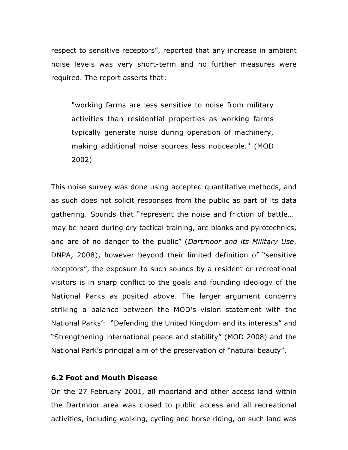respect to sensitive receptors", reported that any increase in ambient noise levels was very short-term and no further measures were required. The report asserts that:

"working farms are less sensitive to noise from military activities than residential properties as working farms typically generate noise during operation of machinery, making additional noise sources less noticeable." (MOD 2002)

This noise survey was done using accepted quantitative methods, and as such does not solicit responses from the public as part of its data gathering. Sounds that "represent the noise and friction of battle… may be heard during dry tactical training, are blanks and pyrotechnics, and are of no danger to the public" (*Dartmoor and its Military Use*, DNPA, 2008), however beyond their limited definition of "sensitive receptors", the exposure to such sounds by a resident or recreational visitors is in sharp conflict to the goals and founding ideology of the National Parks as posited above. The larger argument concerns striking a balance between the MOD's vision statement with the National Parks': "Defending the United Kingdom and its interests" and "Strengthening international peace and stability" (MOD 2008) and the National Park's principal aim of the preservation of "natural beauty".

#### **6.2 Foot and Mouth Disease**

On the 27 February 2001, all moorland and other access land within the Dartmoor area was closed to public access and all recreational activities, including walking, cycling and horse riding, on such land was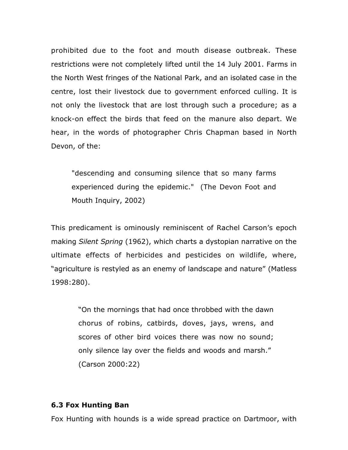prohibited due to the foot and mouth disease outbreak. These restrictions were not completely lifted until the 14 July 2001. Farms in the North West fringes of the National Park, and an isolated case in the centre, lost their livestock due to government enforced culling. It is not only the livestock that are lost through such a procedure; as a knock-on effect the birds that feed on the manure also depart. We hear, in the words of photographer Chris Chapman based in North Devon, of the:

"descending and consuming silence that so many farms experienced during the epidemic." (The Devon Foot and Mouth Inquiry, 2002)

This predicament is ominously reminiscent of Rachel Carson's epoch making *Silent Spring* (1962), which charts a dystopian narrative on the ultimate effects of herbicides and pesticides on wildlife, where, "agriculture is restyled as an enemy of landscape and nature" (Matless 1998:280).

> "On the mornings that had once throbbed with the dawn chorus of robins, catbirds, doves, jays, wrens, and scores of other bird voices there was now no sound; only silence lay over the fields and woods and marsh." (Carson 2000:22)

### **6.3 Fox Hunting Ban**

Fox Hunting with hounds is a wide spread practice on Dartmoor, with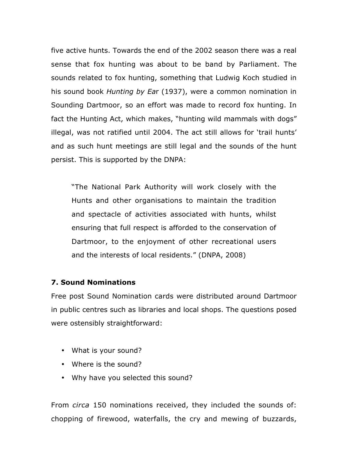five active hunts. Towards the end of the 2002 season there was a real sense that fox hunting was about to be band by Parliament. The sounds related to fox hunting, something that Ludwig Koch studied in his sound book *Hunting by Ea*r (1937), were a common nomination in Sounding Dartmoor, so an effort was made to record fox hunting. In fact the Hunting Act, which makes, "hunting wild mammals with dogs" illegal, was not ratified until 2004. The act still allows for 'trail hunts' and as such hunt meetings are still legal and the sounds of the hunt persist. This is supported by the DNPA:

"The National Park Authority will work closely with the Hunts and other organisations to maintain the tradition and spectacle of activities associated with hunts, whilst ensuring that full respect is afforded to the conservation of Dartmoor, to the enjoyment of other recreational users and the interests of local residents." (DNPA, 2008)

### **7. Sound Nominations**

Free post Sound Nomination cards were distributed around Dartmoor in public centres such as libraries and local shops. The questions posed were ostensibly straightforward:

- What is your sound?
- Where is the sound?
- Why have you selected this sound?

From *circa* 150 nominations received, they included the sounds of: chopping of firewood, waterfalls, the cry and mewing of buzzards,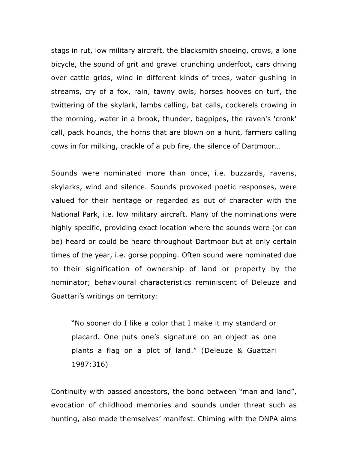stags in rut, low military aircraft, the blacksmith shoeing, crows, a lone bicycle, the sound of grit and gravel crunching underfoot, cars driving over cattle grids, wind in different kinds of trees, water gushing in streams, cry of a fox, rain, tawny owls, horses hooves on turf, the twittering of the skylark, lambs calling, bat calls, cockerels crowing in the morning, water in a brook, thunder, bagpipes, the raven's 'cronk' call, pack hounds, the horns that are blown on a hunt, farmers calling cows in for milking, crackle of a pub fire, the silence of Dartmoor…

Sounds were nominated more than once, i.e. buzzards, ravens, skylarks, wind and silence. Sounds provoked poetic responses, were valued for their heritage or regarded as out of character with the National Park, i.e. low military aircraft. Many of the nominations were highly specific, providing exact location where the sounds were (or can be) heard or could be heard throughout Dartmoor but at only certain times of the year, i.e. gorse popping. Often sound were nominated due to their signification of ownership of land or property by the nominator; behavioural characteristics reminiscent of Deleuze and Guattari's writings on territory:

"No sooner do I like a color that I make it my standard or placard. One puts one's signature on an object as one plants a flag on a plot of land." (Deleuze & Guattari 1987:316)

Continuity with passed ancestors, the bond between "man and land", evocation of childhood memories and sounds under threat such as hunting, also made themselves' manifest. Chiming with the DNPA aims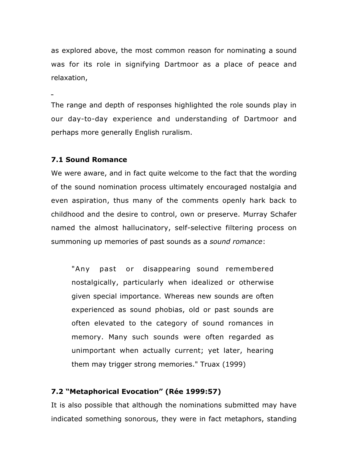as explored above, the most common reason for nominating a sound was for its role in signifying Dartmoor as a place of peace and relaxation,

The range and depth of responses highlighted the role sounds play in our day-to-day experience and understanding of Dartmoor and perhaps more generally English ruralism.

### **7.1 Sound Romance**

We were aware, and in fact quite welcome to the fact that the wording of the sound nomination process ultimately encouraged nostalgia and even aspiration, thus many of the comments openly hark back to childhood and the desire to control, own or preserve. Murray Schafer named the almost hallucinatory, self-selective filtering process on summoning up memories of past sounds as a *sound romance*:

"Any past or disappearing sound remembered nostalgically, particularly when idealized or otherwise given special importance. Whereas new sounds are often experienced as sound phobias, old or past sounds are often elevated to the category of sound romances in memory. Many such sounds were often regarded as unimportant when actually current; yet later, hearing them may trigger strong memories." Truax (1999)

## **7.2 "Metaphorical Evocation" (Rée 1999:57)**

It is also possible that although the nominations submitted may have indicated something sonorous, they were in fact metaphors, standing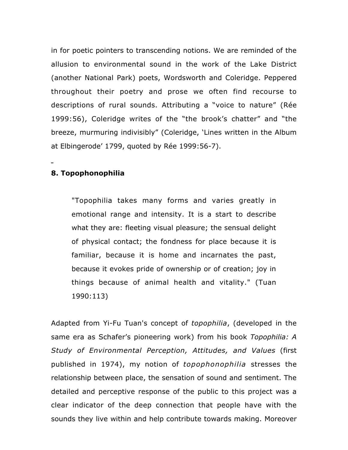in for poetic pointers to transcending notions. We are reminded of the allusion to environmental sound in the work of the Lake District (another National Park) poets, Wordsworth and Coleridge. Peppered throughout their poetry and prose we often find recourse to descriptions of rural sounds. Attributing a "voice to nature" (Rée 1999:56), Coleridge writes of the "the brook's chatter" and "the breeze, murmuring indivisibly" (Coleridge, 'Lines written in the Album at Elbingerode' 1799, quoted by Rée 1999:56-7).

## **8. Topophonophilia**

"Topophilia takes many forms and varies greatly in emotional range and intensity. It is a start to describe what they are: fleeting visual pleasure; the sensual delight of physical contact; the fondness for place because it is familiar, because it is home and incarnates the past, because it evokes pride of ownership or of creation; joy in things because of animal health and vitality." (Tuan 1990:113)

Adapted from Yi-Fu Tuan's concept of *topophilia*, (developed in the same era as Schafer's pioneering work) from his book *Topophilia: A Study of Environmental Perception, Attitudes, and Values* (first published in 1974), my notion of *topophonophilia* stresses the relationship between place, the sensation of sound and sentiment. The detailed and perceptive response of the public to this project was a clear indicator of the deep connection that people have with the sounds they live within and help contribute towards making. Moreover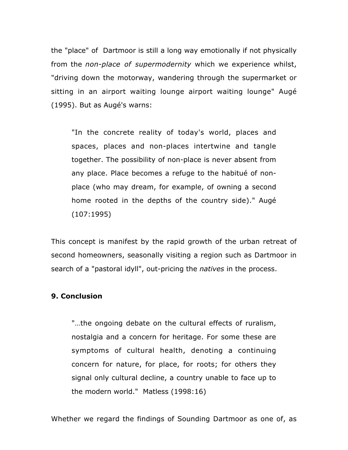the "place" of Dartmoor is still a long way emotionally if not physically from the *non-place of supermodernity* which we experience whilst, "driving down the motorway, wandering through the supermarket or sitting in an airport waiting lounge airport waiting lounge" Augé (1995). But as Augé's warns:

"In the concrete reality of today's world, places and spaces, places and non-places intertwine and tangle together. The possibility of non-place is never absent from any place. Place becomes a refuge to the habitué of nonplace (who may dream, for example, of owning a second home rooted in the depths of the country side)." Augé (107:1995)

This concept is manifest by the rapid growth of the urban retreat of second homeowners, seasonally visiting a region such as Dartmoor in search of a "pastoral idyll", out-pricing the *natives* in the process.

### **9. Conclusion**

"…the ongoing debate on the cultural effects of ruralism, nostalgia and a concern for heritage. For some these are symptoms of cultural health, denoting a continuing concern for nature, for place, for roots; for others they signal only cultural decline, a country unable to face up to the modern world." Matless (1998:16)

Whether we regard the findings of Sounding Dartmoor as one of, as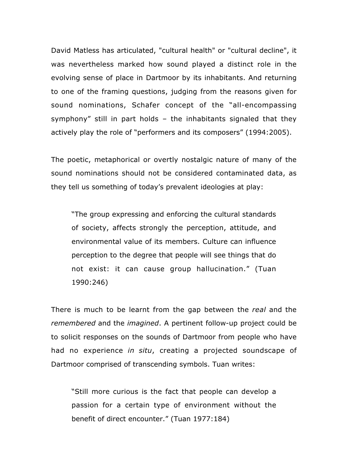David Matless has articulated, "cultural health" or "cultural decline", it was nevertheless marked how sound played a distinct role in the evolving sense of place in Dartmoor by its inhabitants. And returning to one of the framing questions, judging from the reasons given for sound nominations, Schafer concept of the "all-encompassing symphony" still in part holds – the inhabitants signaled that they actively play the role of "performers and its composers" (1994:2005).

The poetic, metaphorical or overtly nostalgic nature of many of the sound nominations should not be considered contaminated data, as they tell us something of today's prevalent ideologies at play:

"The group expressing and enforcing the cultural standards of society, affects strongly the perception, attitude, and environmental value of its members. Culture can influence perception to the degree that people will see things that do not exist: it can cause group hallucination." (Tuan 1990:246)

There is much to be learnt from the gap between the *real* and the *remembered* and the *imagined*. A pertinent follow-up project could be to solicit responses on the sounds of Dartmoor from people who have had no experience *in situ*, creating a projected soundscape of Dartmoor comprised of transcending symbols. Tuan writes:

"Still more curious is the fact that people can develop a passion for a certain type of environment without the benefit of direct encounter." (Tuan 1977:184)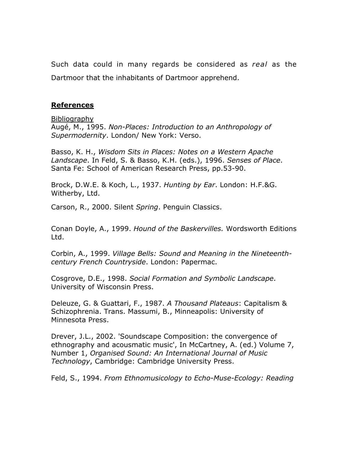Such data could in many regards be considered as *real* as the Dartmoor that the inhabitants of Dartmoor apprehend.

### **References**

Bibliography

Augé, M., 1995. *Non-Places: Introduction to an Anthropology of Supermodernity*. London/ New York: Verso.

Basso, K. H., *Wisdom Sits in Places: Notes on a Western Apache Landscape*. In Feld, S. & Basso, K.H. (eds.), 1996. *Senses of Place*. Santa Fe: School of American Research Press, pp.53-90.

Brock, D.W.E. & Koch, L., 1937. *Hunting by Ear*. London: H.F.&G. Witherby, Ltd.

Carson, R., 2000. Silent *Spring*. Penguin Classics.

Conan Doyle, A., 1999. *Hound of the Baskervilles.* Wordsworth Editions Ltd.

Corbin, A., 1999. *Village Bells: Sound and Meaning in the Nineteenthcentury French Countryside*. London: Papermac.

Cosgrove, D.E., 1998. *Social Formation and Symbolic Landscape*. University of Wisconsin Press.

Deleuze, G. & Guattari, F., 1987. *A Thousand Plateaus*: Capitalism & Schizophrenia. Trans. Massumi, B., Minneapolis: University of Minnesota Press.

Drever, J.L., 2002. 'Soundscape Composition: the convergence of ethnography and acousmatic music', In McCartney, A. (ed.) Volume 7, Number 1, *Organised Sound: An International Journal of Music Technology*, Cambridge: Cambridge University Press.

Feld, S., 1994. *From Ethnomusicology to Echo-Muse-Ecology: Reading*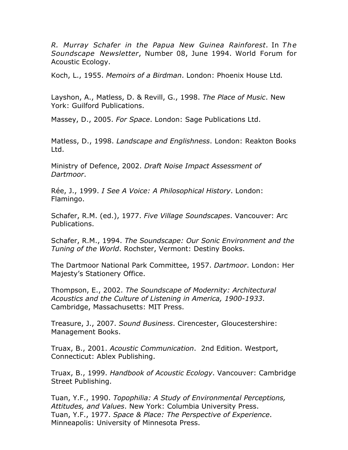*R. Murray Schafer in the Papua New Guinea Rainforest*. In *The Soundscape Newsletter*, Number 08, June 1994. World Forum for Acoustic Ecology.

Koch, L., 1955. *Memoirs of a Birdman*. London: Phoenix House Ltd*.*

Layshon, A., Matless, D. & Revill, G., 1998. *The Place of Music*. New York: Guilford Publications.

Massey, D., 2005. *For Space*. London: Sage Publications Ltd.

Matless, D., 1998. *Landscape and Englishness*. London: Reakton Books Ltd.

Ministry of Defence, 2002. *Draft Noise Impact Assessment of Dartmoor*.

Rée, J., 1999. *I See A Voice: A Philosophical History*. London: Flamingo.

Schafer, R.M. (ed.), 1977. *Five Village Soundscapes*. Vancouver: Arc Publications.

Schafer, R.M., 1994. *The Soundscape: Our Sonic Environment and the Tuning of the World*. Rochster, Vermont: Destiny Books.

The Dartmoor National Park Committee, 1957. *Dartmoor*. London: Her Majesty's Stationery Office.

Thompson, E., 2002. *The Soundscape of Modernity: Architectural Acoustics and the Culture of Listening in America, 1900-1933*. Cambridge, Massachusetts: MIT Press.

Treasure, J., 2007. *Sound Business*. Cirencester, Gloucestershire: Management Books.

Truax, B., 2001. *Acoustic Communication*. 2nd Edition. Westport, Connecticut: Ablex Publishing.

Truax, B., 1999. *Handbook of Acoustic Ecology*. Vancouver: Cambridge Street Publishing.

Tuan, Y.F., 1990. *Topophilia: A Study of Environmental Perceptions, Attitudes, and Values*. New York: Columbia University Press. Tuan, Y.F., 1977. *Space & Place: The Perspective of Experience*. Minneapolis: University of Minnesota Press.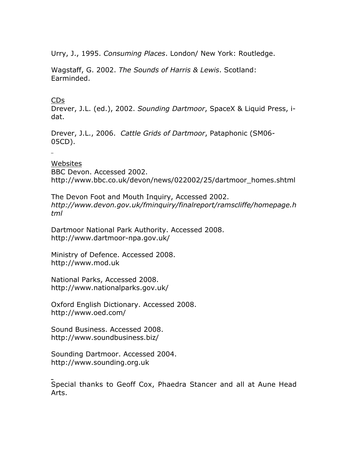Urry, J., 1995. *Consuming Places*. London/ New York: Routledge.

Wagstaff, G. 2002. *The Sounds of Harris & Lewis*. Scotland: Earminded.

### CDs

Drever, J.L. (ed.), 2002. *Sounding Dartmoor*, SpaceX & Liquid Press, idat.

Drever, J.L., 2006. *Cattle Grids of Dartmoor*, Pataphonic (SM06- 05CD).

Websites BBC Devon. Accessed 2002. http://www.bbc.co.uk/devon/news/022002/25/dartmoor\_homes.shtml

The Devon Foot and Mouth Inquiry, Accessed 2002. *http://www.devon.gov.uk/fminquiry/finalreport/ramscliffe/homepage.h tml*

Dartmoor National Park Authority. Accessed 2008. http://www.dartmoor-npa.gov.uk/

Ministry of Defence. Accessed 2008. http://www.mod.uk

National Parks, Accessed 2008. http://www.nationalparks.gov.uk/

Oxford English Dictionary. Accessed 2008. http://www.oed.com/

Sound Business. Accessed 2008. http://www.soundbusiness.biz/

Sounding Dartmoor. Accessed 2004. http://www.sounding.org.uk

Special thanks to Geoff Cox, Phaedra Stancer and all at Aune Head Arts.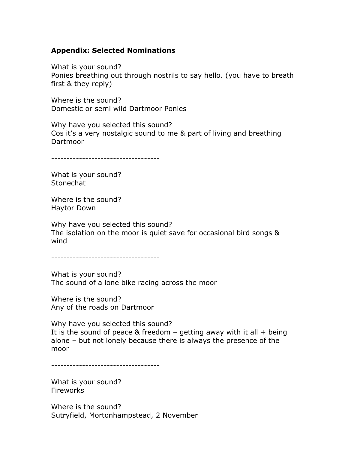### **Appendix: Selected Nominations**

What is your sound? Ponies breathing out through nostrils to say hello. (you have to breath first & they reply)

Where is the sound? Domestic or semi wild Dartmoor Ponies

Why have you selected this sound? Cos it's a very nostalgic sound to me & part of living and breathing Dartmoor

-----------------------------------

What is your sound? **Stonechat** 

Where is the sound? Haytor Down

Why have you selected this sound? The isolation on the moor is quiet save for occasional bird songs & wind

-----------------------------------

What is your sound? The sound of a lone bike racing across the moor

Where is the sound? Any of the roads on Dartmoor

Why have you selected this sound? It is the sound of peace & freedom  $-$  getting away with it all  $+$  being alone – but not lonely because there is always the presence of the moor

-----------------------------------

What is your sound? Fireworks

Where is the sound? Sutryfield, Mortonhampstead, 2 November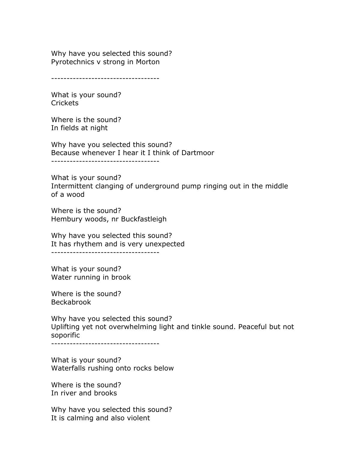Why have you selected this sound? Pyrotechnics v strong in Morton

-----------------------------------

What is your sound? Crickets

Where is the sound? In fields at night

Why have you selected this sound? Because whenever I hear it I think of Dartmoor

-----------------------------------

What is your sound? Intermittent clanging of underground pump ringing out in the middle of a wood

Where is the sound? Hembury woods, nr Buckfastleigh

Why have you selected this sound? It has rhythem and is very unexpected -----------------------------------

What is your sound? Water running in brook

Where is the sound? Beckabrook

Why have you selected this sound? Uplifting yet not overwhelming light and tinkle sound. Peaceful but not soporific

-----------------------------------

What is your sound? Waterfalls rushing onto rocks below

Where is the sound? In river and brooks

Why have you selected this sound? It is calming and also violent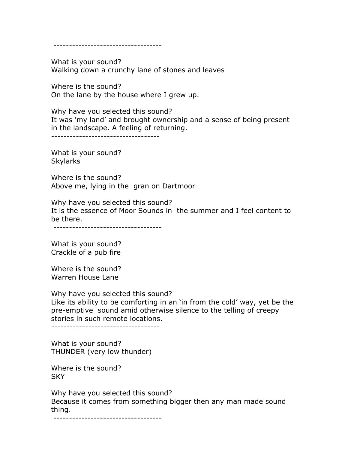-----------------------------------

What is your sound? Walking down a crunchy lane of stones and leaves

Where is the sound? On the lane by the house where I grew up.

Why have you selected this sound? It was 'my land' and brought ownership and a sense of being present in the landscape. A feeling of returning.

-----------------------------------

What is your sound? Skylarks

Where is the sound? Above me, lying in the gran on Dartmoor

Why have you selected this sound? It is the essence of Moor Sounds in the summer and I feel content to be there.

-----------------------------------

What is your sound? Crackle of a pub fire

Where is the sound? Warren House Lane

Why have you selected this sound? Like its ability to be comforting in an 'in from the cold' way, yet be the pre-emptive sound amid otherwise silence to the telling of creepy stories in such remote locations.

-----------------------------------

What is your sound? THUNDER (very low thunder)

Where is the sound? SKY

Why have you selected this sound? Because it comes from something bigger then any man made sound thing.

-----------------------------------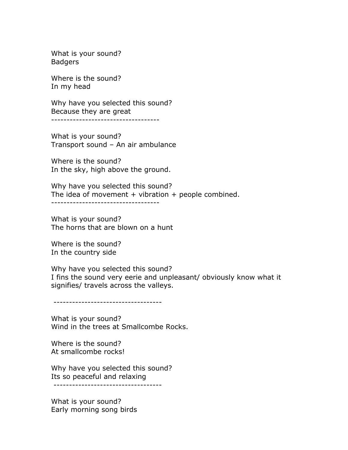What is your sound? Badgers

Where is the sound? In my head

Why have you selected this sound? Because they are great -----------------------------------

What is your sound? Transport sound – An air ambulance

Where is the sound? In the sky, high above the ground.

Why have you selected this sound? The idea of movement  $+$  vibration  $+$  people combined. -----------------------------------

What is your sound? The horns that are blown on a hunt

Where is the sound? In the country side

Why have you selected this sound? I fins the sound very eerie and unpleasant/ obviously know what it signifies/ travels across the valleys.

-----------------------------------

What is your sound? Wind in the trees at Smallcombe Rocks.

Where is the sound? At smallcombe rocks!

Why have you selected this sound? Its so peaceful and relaxing -----------------------------------

What is your sound? Early morning song birds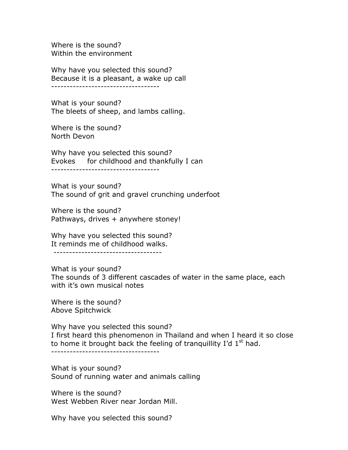Where is the sound? Within the environment

Why have you selected this sound? Because it is a pleasant, a wake up call -----------------------------------

What is your sound? The bleets of sheep, and lambs calling.

Where is the sound? North Devon

Why have you selected this sound? Evokes for childhood and thankfully I can -----------------------------------

What is your sound? The sound of grit and gravel crunching underfoot

Where is the sound? Pathways, drives + anywhere stoney!

Why have you selected this sound? It reminds me of childhood walks.

-----------------------------------

What is your sound? The sounds of 3 different cascades of water in the same place, each with it's own musical notes

Where is the sound? Above Spitchwick

Why have you selected this sound? I first heard this phenomenon in Thailand and when I heard it so close to home it brought back the feeling of tranquillity I'd  $1<sup>st</sup>$  had. -----------------------------------

What is your sound? Sound of running water and animals calling

Where is the sound? West Webben River near Jordan Mill.

Why have you selected this sound?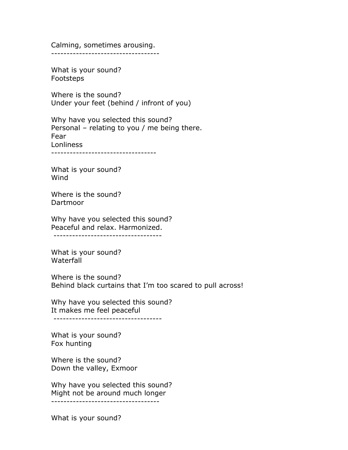Calming, sometimes arousing. -----------------------------------

What is your sound? Footsteps

Where is the sound? Under your feet (behind / infront of you)

Why have you selected this sound? Personal – relating to you / me being there. Fear Lonliness

----------------------------------

What is your sound? Wind

Where is the sound? Dartmoor

Why have you selected this sound? Peaceful and relax. Harmonized. -----------------------------------

What is your sound? **Waterfall** 

Where is the sound? Behind black curtains that I'm too scared to pull across!

Why have you selected this sound? It makes me feel peaceful -----------------------------------

What is your sound? Fox hunting

Where is the sound? Down the valley, Exmoor

Why have you selected this sound? Might not be around much longer -----------------------------------

What is your sound?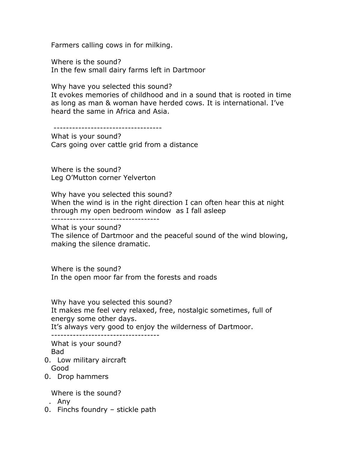Farmers calling cows in for milking.

Where is the sound? In the few small dairy farms left in Dartmoor

Why have you selected this sound?

It evokes memories of childhood and in a sound that is rooted in time as long as man & woman have herded cows. It is international. I've heard the same in Africa and Asia.

-----------------------------------

What is your sound? Cars going over cattle grid from a distance

Where is the sound? Leg O'Mutton corner Yelverton

Why have you selected this sound? When the wind is in the right direction I can often hear this at night through my open bedroom window as I fall asleep

-----------------------------------

What is your sound?

The silence of Dartmoor and the peaceful sound of the wind blowing, making the silence dramatic.

Where is the sound? In the open moor far from the forests and roads

Why have you selected this sound? It makes me feel very relaxed, free, nostalgic sometimes, full of energy some other days.

It's always very good to enjoy the wilderness of Dartmoor.

----------------------------------- What is your sound?

Bad

- 0. Low military aircraft Good
- 0. Drop hammers

Where is the sound?

- . Any
- 0. Finchs foundry stickle path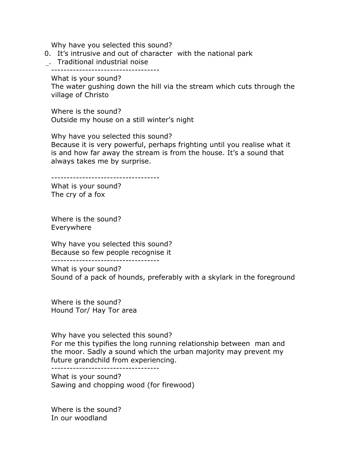Why have you selected this sound?

0. It's intrusive and out of character with the national park

\_. Traditional industrial noise

-----------------------------------

What is your sound?

The water gushing down the hill via the stream which cuts through the village of Christo

Where is the sound? Outside my house on a still winter's night

Why have you selected this sound? Because it is very powerful, perhaps frighting until you realise what it is and how far away the stream is from the house. It's a sound that always takes me by surprise.

-----------------------------------

What is your sound? The cry of a fox

Where is the sound? Everywhere

Why have you selected this sound? Because so few people recognise it -----------------------------------

What is your sound? Sound of a pack of hounds, preferably with a skylark in the foreground

Where is the sound? Hound Tor/ Hay Tor area

Why have you selected this sound? For me this typifies the long running relationship between man and the moor. Sadly a sound which the urban majority may prevent my future grandchild from experiencing.

-----------------------------------

What is your sound? Sawing and chopping wood (for firewood)

Where is the sound? In our woodland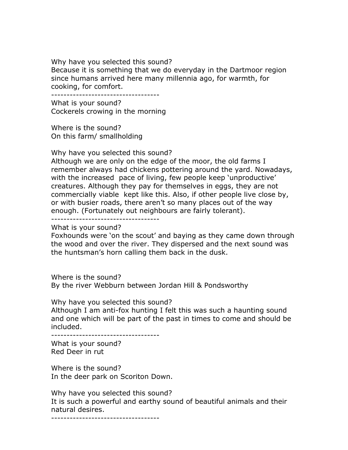#### Why have you selected this sound?

Because it is something that we do everyday in the Dartmoor region since humans arrived here many millennia ago, for warmth, for cooking, for comfort.

-----------------------------------

What is your sound? Cockerels crowing in the morning

Where is the sound? On this farm/ smallholding

Why have you selected this sound?

Although we are only on the edge of the moor, the old farms I remember always had chickens pottering around the yard. Nowadays, with the increased pace of living, few people keep 'unproductive' creatures. Although they pay for themselves in eggs, they are not commercially viable kept like this. Also, if other people live close by, or with busier roads, there aren't so many places out of the way enough. (Fortunately out neighbours are fairly tolerant).

-----------------------------------

What is your sound?

Foxhounds were 'on the scout' and baying as they came down through the wood and over the river. They dispersed and the next sound was the huntsman's horn calling them back in the dusk.

Where is the sound? By the river Webburn between Jordan Hill & Pondsworthy

Why have you selected this sound?

Although I am anti-fox hunting I felt this was such a haunting sound and one which will be part of the past in times to come and should be included.

-----------------------------------

What is your sound? Red Deer in rut

Where is the sound? In the deer park on Scoriton Down.

Why have you selected this sound? It is such a powerful and earthy sound of beautiful animals and their natural desires.

-----------------------------------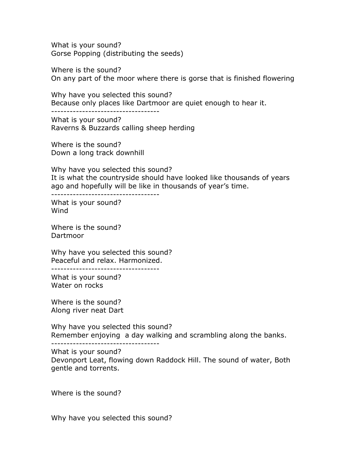What is your sound? Gorse Popping (distributing the seeds)

Where is the sound? On any part of the moor where there is gorse that is finished flowering

Why have you selected this sound? Because only places like Dartmoor are quiet enough to hear it. -----------------------------------

What is your sound? Raverns & Buzzards calling sheep herding

Where is the sound? Down a long track downhill

Why have you selected this sound? It is what the countryside should have looked like thousands of years ago and hopefully will be like in thousands of year's time.

-----------------------------------

What is your sound? Wind

Where is the sound? Dartmoor

Why have you selected this sound? Peaceful and relax. Harmonized.

-----------------------------------

What is your sound? Water on rocks

Where is the sound? Along river neat Dart

Why have you selected this sound? Remember enjoying a day walking and scrambling along the banks.

-----------------------------------

What is your sound?

Devonport Leat, flowing down Raddock Hill. The sound of water, Both gentle and torrents.

Where is the sound?

Why have you selected this sound?